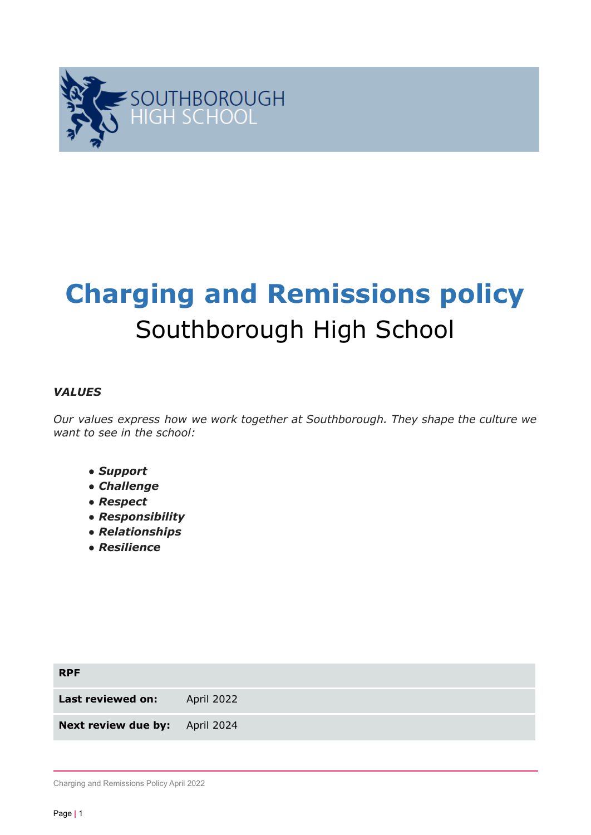

# **Charging and Remissions policy** Southborough High School

#### *VALUES*

*Our values express how we work together at Southborough. They shape the culture we want to see in the school:*

- *● Support*
- *● Challenge*
- *● Respect*
- *● Responsibility*
- *● Relationships*
- *● Resilience*

| <b>RPF</b>                            |            |
|---------------------------------------|------------|
| Last reviewed on:                     | April 2022 |
| <b>Next review due by:</b> April 2024 |            |

Charging and Remissions Policy April 2022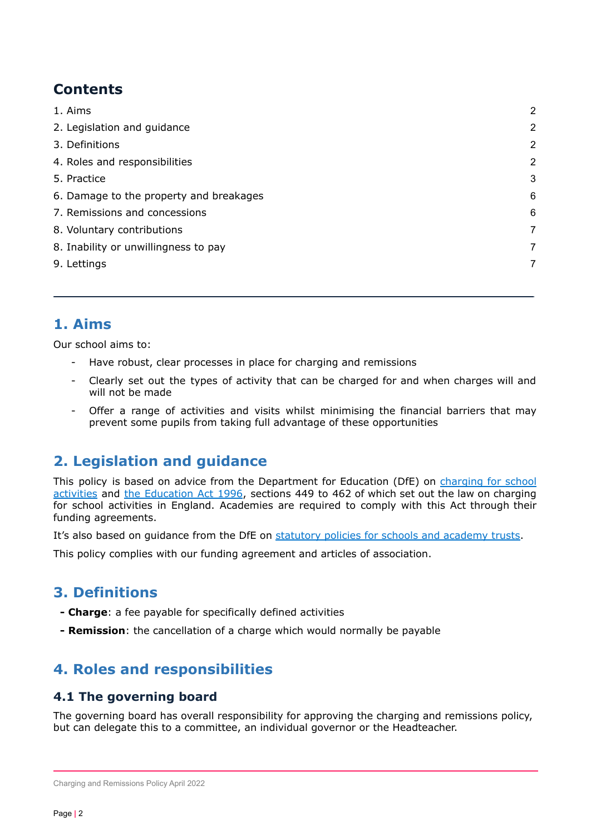# **Contents**

| 1. Aims                                 | $\overline{2}$ |
|-----------------------------------------|----------------|
| 2. Legislation and guidance             | $\overline{2}$ |
| 3. Definitions                          | $\overline{2}$ |
| 4. Roles and responsibilities           | $\overline{2}$ |
| 5. Practice                             | 3              |
| 6. Damage to the property and breakages | 6              |
| 7. Remissions and concessions           | 6              |
| 8. Voluntary contributions              | 7              |
| 8. Inability or unwillingness to pay    | 7              |
| 9. Lettings                             | 7              |
|                                         |                |

## <span id="page-1-0"></span>**1. Aims**

Our school aims to:

- Have robust, clear processes in place for charging and remissions
- Clearly set out the types of activity that can be charged for and when charges will and will not be made
- Offer a range of activities and visits whilst minimising the financial barriers that may prevent some pupils from taking full advantage of these opportunities

# **2. Legislation and guidance**

This policy is based on advice from the Department for Education (DfE) on [charging](https://www.gov.uk/government/publications/charging-for-school-activities) for school [activities](https://www.gov.uk/government/publications/charging-for-school-activities) and the [Education](http://www.legislation.gov.uk/ukpga/1996/56/part/VI/chapter/III) Act 1996, sections 449 to 462 of which set out the law on charging for school activities in England. Academies are required to comply with this Act through their funding agreements.

It's also based on quidance from the DfE on [statutory](https://www.gov.uk/government/publications/statutory-policies-for-schools-and-academy-trusts/statutory-policies-for-schools-and-academy-trusts) policies for schools and academy trusts.

This policy complies with our funding agreement and articles of association.

## **3. Definitions**

- **- Charge**: a fee payable for specifically defined activities
- **- Remission**: the cancellation of a charge which would normally be payable

## **4. Roles and responsibilities**

#### **4.1 The governing board**

The governing board has overall responsibility for approving the charging and remissions policy, but can delegate this to a committee, an individual governor or the Headteacher.

Charging and Remissions Policy April 2022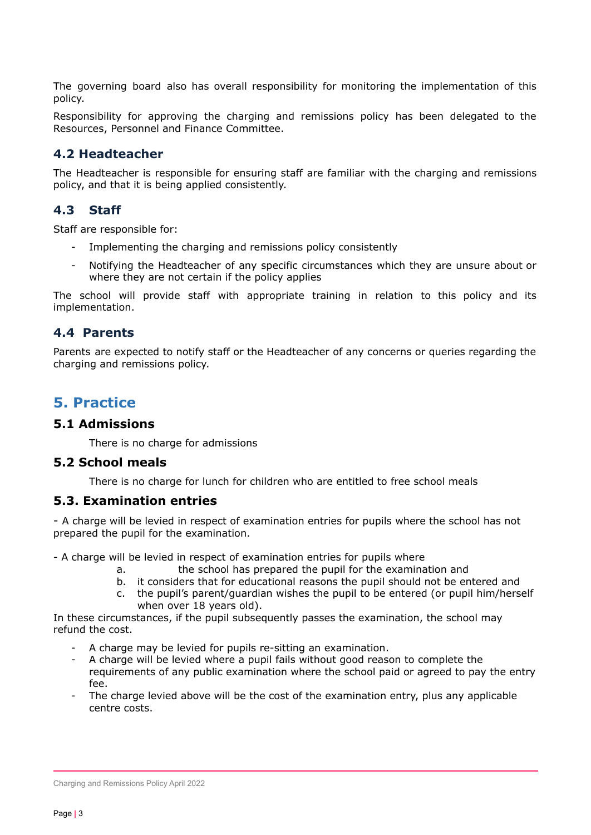The governing board also has overall responsibility for monitoring the implementation of this policy.

Responsibility for approving the charging and remissions policy has been delegated to the Resources, Personnel and Finance Committee.

#### **4.2 Headteacher**

The Headteacher is responsible for ensuring staff are familiar with the charging and remissions policy, and that it is being applied consistently.

#### **4.3 Staff**

Staff are responsible for:

- Implementing the charging and remissions policy consistently
- Notifying the Headteacher of any specific circumstances which they are unsure about or where they are not certain if the policy applies

The school will provide staff with appropriate training in relation to this policy and its implementation.

#### **4.4 Parents**

Parents are expected to notify staff or the Headteacher of any concerns or queries regarding the charging and remissions policy.

## <span id="page-2-0"></span>**5. Practice**

#### **5.1 Admissions**

There is no charge for admissions

#### **5.2 School meals**

There is no charge for lunch for children who are entitled to free school meals

#### **5.3. Examination entries**

- A charge will be levied in respect of examination entries for pupils where the school has not prepared the pupil for the examination.

- A charge will be levied in respect of examination entries for pupils where

- a. the school has prepared the pupil for the examination and
- b. it considers that for educational reasons the pupil should not be entered and
- c. the pupil's parent/guardian wishes the pupil to be entered (or pupil him/herself when over 18 years old).

In these circumstances, if the pupil subsequently passes the examination, the school may refund the cost.

- A charge may be levied for pupils re-sitting an examination.
- A charge will be levied where a pupil fails without good reason to complete the requirements of any public examination where the school paid or agreed to pay the entry fee.
- The charge levied above will be the cost of the examination entry, plus any applicable centre costs.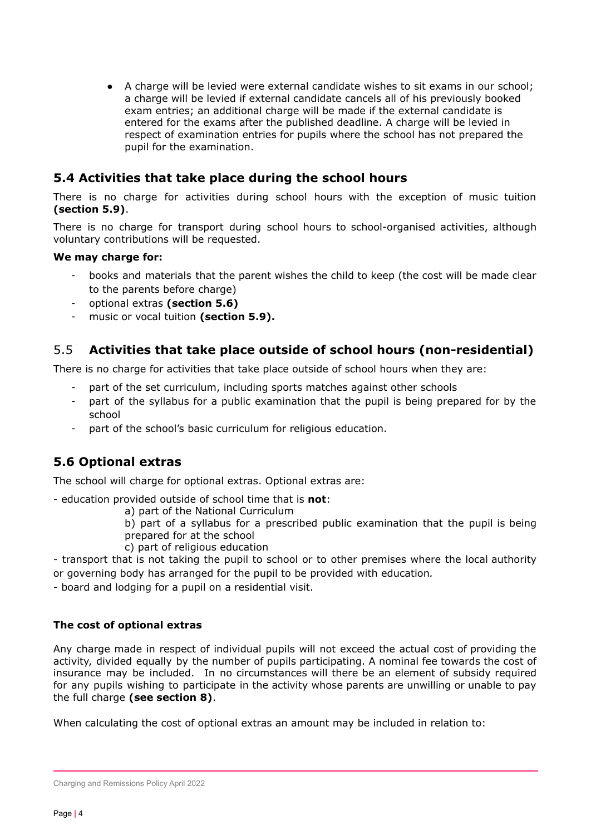● A charge will be levied were external candidate wishes to sit exams in our school; a charge will be levied if external candidate cancels all of his previously booked exam entries; an additional charge will be made if the external candidate is entered for the exams after the published deadline. A charge will be levied in respect of examination entries for pupils where the school has not prepared the pupil for the examination.

## **5.4 Activities that take place during the school hours**

There is no charge for activities during school hours with the exception of music tuition **(section 5.9)**.

There is no charge for transport during school hours to school-organised activities, although voluntary contributions will be requested.

#### **We may charge for:**

- books and materials that the parent wishes the child to keep (the cost will be made clear to the parents before charge)
- optional extras **(section 5.6)**
- music or vocal tuition **(section 5.9).**

## 5.5 **Activities that take place outside of school hours (non-residential)**

There is no charge for activities that take place outside of school hours when they are:

- part of the set curriculum, including sports matches against other schools
- part of the syllabus for a public examination that the pupil is being prepared for by the school
- part of the school's basic curriculum for religious education.

## **5.6 Optional extras**

The school will charge for optional extras. Optional extras are:

- education provided outside of school time that is **not**:

a) part of the National Curriculum

b) part of a syllabus for a prescribed public examination that the pupil is being prepared for at the school

c) part of religious education

- transport that is not taking the pupil to school or to other premises where the local authority or governing body has arranged for the pupil to be provided with education*.*

- board and lodging for a pupil on a residential visit.

#### **The cost of optional extras**

Any charge made in respect of individual pupils will not exceed the actual cost of providing the activity, divided equally by the number of pupils participating. A nominal fee towards the cost of insurance may be included. In no circumstances will there be an element of subsidy required for any pupils wishing to participate in the activity whose parents are unwilling or unable to pay the full charge **(see section 8)**.

When calculating the cost of optional extras an amount may be included in relation to:

Charging and Remissions Policy April 2022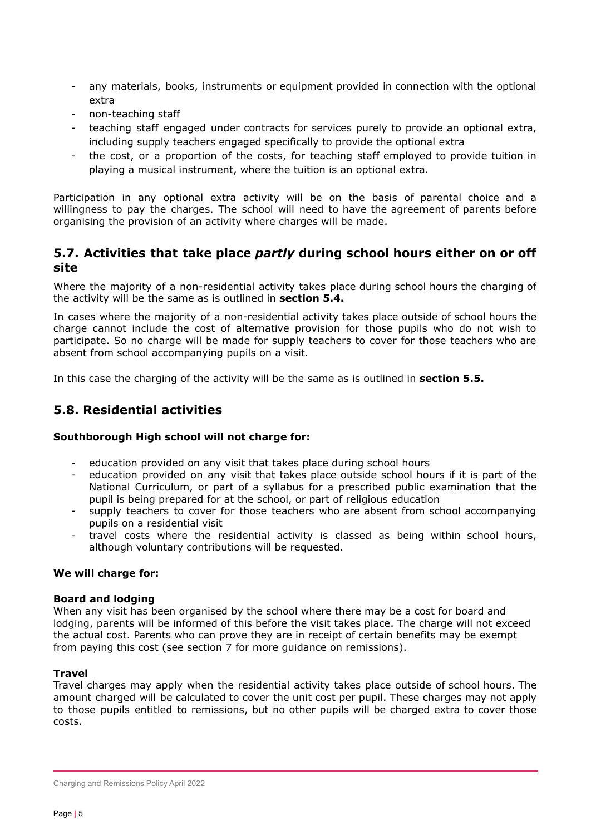- any materials, books, instruments or equipment provided in connection with the optional extra
- non-teaching staff
- teaching staff engaged under contracts for services purely to provide an optional extra, including supply teachers engaged specifically to provide the optional extra
- the cost, or a proportion of the costs, for teaching staff employed to provide tuition in playing a musical instrument, where the tuition is an optional extra.

Participation in any optional extra activity will be on the basis of parental choice and a willingness to pay the charges. The school will need to have the agreement of parents before organising the provision of an activity where charges will be made.

#### **5.7. Activities that take place** *partly* **during school hours either on or off site**

Where the majority of a non-residential activity takes place during school hours the charging of the activity will be the same as is outlined in **section 5.4.**

In cases where the majority of a non-residential activity takes place outside of school hours the charge cannot include the cost of alternative provision for those pupils who do not wish to participate. So no charge will be made for supply teachers to cover for those teachers who are absent from school accompanying pupils on a visit.

In this case the charging of the activity will be the same as is outlined in **section 5.5.**

#### **5.8. Residential activities**

#### **Southborough High school will not charge for:**

- education provided on any visit that takes place during school hours
- education provided on any visit that takes place outside school hours if it is part of the National Curriculum, or part of a syllabus for a prescribed public examination that the pupil is being prepared for at the school, or part of religious education
- supply teachers to cover for those teachers who are absent from school accompanying pupils on a residential visit
- travel costs where the residential activity is classed as being within school hours, although voluntary contributions will be requested.

#### **We will charge for:**

#### **Board and lodging**

When any visit has been organised by the school where there may be a cost for board and lodging, parents will be informed of this before the visit takes place. The charge will not exceed the actual cost. Parents who can prove they are in receipt of certain benefits may be exempt from paying this cost (see section 7 for more guidance on remissions).

#### **Travel**

Travel charges may apply when the residential activity takes place outside of school hours. The amount charged will be calculated to cover the unit cost per pupil. These charges may not apply to those pupils entitled to remissions, but no other pupils will be charged extra to cover those costs.

Charging and Remissions Policy April 2022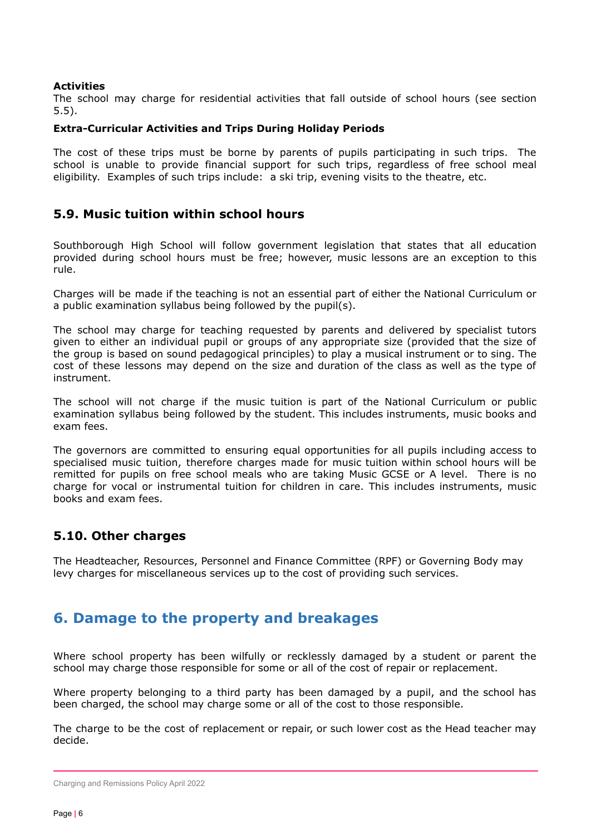#### **Activities**

The school may charge for residential activities that fall outside of school hours (see section 5.5).

#### **Extra-Curricular Activities and Trips During Holiday Periods**

The cost of these trips must be borne by parents of pupils participating in such trips. The school is unable to provide financial support for such trips, regardless of free school meal eligibility. Examples of such trips include: a ski trip, evening visits to the theatre, etc.

#### **5.9. Music tuition within school hours**

Southborough High School will follow government legislation that states that all education provided during school hours must be free; however, music lessons are an exception to this rule.

Charges will be made if the teaching is not an essential part of either the National Curriculum or a public examination syllabus being followed by the pupil(s).

The school may charge for teaching requested by parents and delivered by specialist tutors given to either an individual pupil or groups of any appropriate size (provided that the size of the group is based on sound pedagogical principles) to play a musical instrument or to sing. The cost of these lessons may depend on the size and duration of the class as well as the type of instrument.

The school will not charge if the music tuition is part of the National Curriculum or public examination syllabus being followed by the student. This includes instruments, music books and exam fees.

The governors are committed to ensuring equal opportunities for all pupils including access to specialised music tuition, therefore charges made for music tuition within school hours will be remitted for pupils on free school meals who are taking Music GCSE or A level. There is no charge for vocal or instrumental tuition for children in care. This includes instruments, music books and exam fees.

#### **5.10. Other charges**

The Headteacher, Resources, Personnel and Finance Committee (RPF) or Governing Body may levy charges for miscellaneous services up to the cost of providing such services.

## <span id="page-5-0"></span>**6. Damage to the property and breakages**

Where school property has been wilfully or recklessly damaged by a student or parent the school may charge those responsible for some or all of the cost of repair or replacement.

Where property belonging to a third party has been damaged by a pupil, and the school has been charged, the school may charge some or all of the cost to those responsible.

The charge to be the cost of replacement or repair, or such lower cost as the Head teacher may decide.

Charging and Remissions Policy April 2022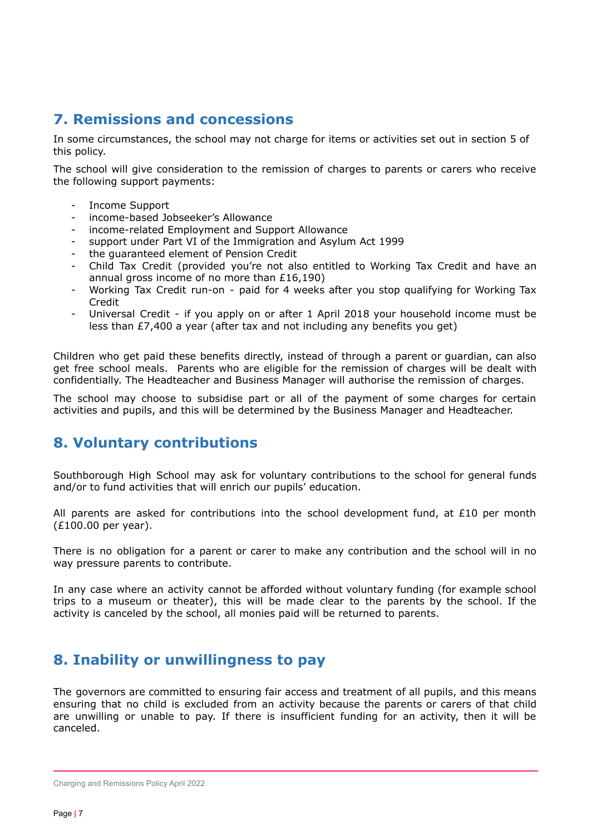## <span id="page-6-0"></span>**7. Remissions and concessions**

In some circumstances, the school may not charge for items or activities set out in section 5 of this policy.

The school will give consideration to the remission of charges to parents or carers who receive the following support payments:

- Income Support
- income-based Jobseeker's Allowance
- income-related Employment and Support Allowance
- support under Part VI of the Immigration and Asylum Act 1999
- the guaranteed element of Pension Credit
- Child Tax Credit (provided you're not also entitled to Working Tax Credit and have an annual gross income of no more than £16,190)
- Working Tax Credit run-on paid for 4 weeks after you stop qualifying for Working Tax Credit
- Universal Credit if you apply on or after 1 April 2018 your household income must be less than £7,400 a year (after tax and not including any benefits you get)

Children who get paid these benefits directly, instead of through a parent or guardian, can also get free school meals. Parents who are eligible for the remission of charges will be dealt with confidentially. The Headteacher and Business Manager will authorise the remission of charges.

The school may choose to subsidise part or all of the payment of some charges for certain activities and pupils, and this will be determined by the Business Manager and Headteacher.

## <span id="page-6-1"></span>**8. Voluntary contributions**

Southborough High School may ask for voluntary contributions to the school for general funds and/or to fund activities that will enrich our pupils' education.

All parents are asked for contributions into the school development fund, at £10 per month (£100.00 per year).

There is no obligation for a parent or carer to make any contribution and the school will in no way pressure parents to contribute.

In any case where an activity cannot be afforded without voluntary funding (for example school trips to a museum or theater), this will be made clear to the parents by the school. If the activity is canceled by the school, all monies paid will be returned to parents.

## <span id="page-6-2"></span>**8. Inability or unwillingness to pay**

The governors are committed to ensuring fair access and treatment of all pupils, and this means ensuring that no child is excluded from an activity because the parents or carers of that child are unwilling or unable to pay. If there is insufficient funding for an activity, then it will be canceled.

Charging and Remissions Policy April 2022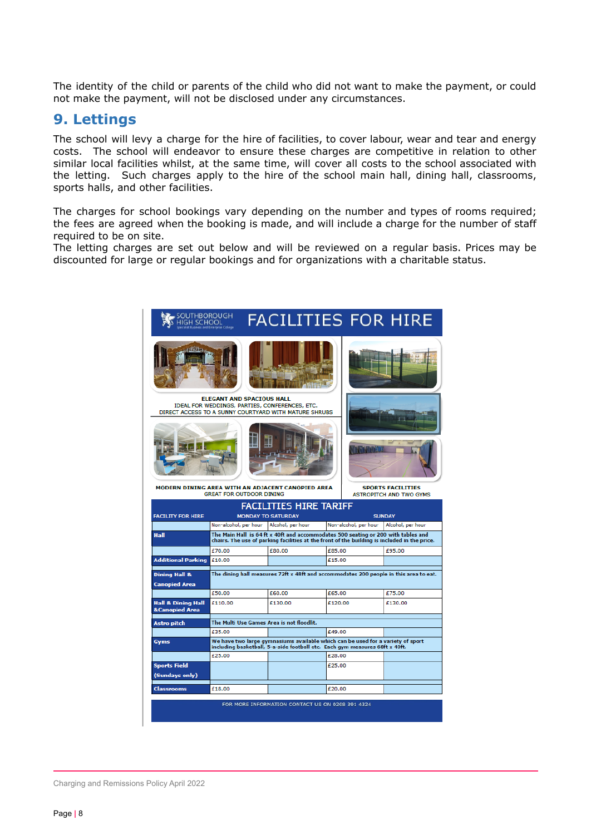<span id="page-7-0"></span>The identity of the child or parents of the child who did not want to make the payment, or could not make the payment, will not be disclosed under any circumstances.

#### **9. Lettings**

The school will levy a charge for the hire of facilities, to cover labour, wear and tear and energy costs. The school will endeavor to ensure these charges are competitive in relation to other similar local facilities whilst, at the same time, will cover all costs to the school associated with the letting. Such charges apply to the hire of the school main hall, dining hall, classrooms, sports halls, and other facilities.

The charges for school bookings vary depending on the number and types of rooms required; the fees are agreed when the booking is made, and will include a charge for the number of staff required to be on site.

The letting charges are set out below and will be reviewed on a regular basis. Prices may be discounted for large or regular bookings and for organizations with a charitable status.

| OUTHBOROUGH<br><b>IIGH SCHOOL</b>                                                                                                           |                                                                                                                                                                                   | <b>FACILITIES FOR HIRE</b> |                                                            |                                            |         |  |  |  |
|---------------------------------------------------------------------------------------------------------------------------------------------|-----------------------------------------------------------------------------------------------------------------------------------------------------------------------------------|----------------------------|------------------------------------------------------------|--------------------------------------------|---------|--|--|--|
|                                                                                                                                             |                                                                                                                                                                                   |                            |                                                            |                                            |         |  |  |  |
| <b>ELEGANT AND SPACIOUS HALL</b><br>IDEAL FOR WEDDINGS, PARTIES, CONFERENCES, ETC.<br>DIRECT ACCESS TO A SUNNY COURTYARD WITH MATURE SHRUBS |                                                                                                                                                                                   |                            |                                                            |                                            |         |  |  |  |
|                                                                                                                                             |                                                                                                                                                                                   |                            |                                                            |                                            |         |  |  |  |
|                                                                                                                                             | MÔDERN DINING AREA WITH AN ADJACENT CANOPIED AREA<br><b>GREAT FOR OUTDOOR DINING</b>                                                                                              |                            | <b>SPORTS FACILITIES</b><br><b>ASTROPITCH AND TWO GYMS</b> |                                            |         |  |  |  |
| <b>FACILITIES HIRE TARIFF</b><br><b>FACILITY FOR HIRE</b><br><b>MONDAY TO SATURDAY</b><br><b>SUNDAY</b>                                     |                                                                                                                                                                                   |                            |                                                            |                                            |         |  |  |  |
|                                                                                                                                             | Non-alcohol, per hour                                                                                                                                                             | Alcohol, per hour          |                                                            | Non-alcohol, per hour<br>Alcohol, per hour |         |  |  |  |
| <b>Hall</b>                                                                                                                                 | The Main Hall is 64 ft x 40ft and accommodates 500 seating or 200 with tables and<br>chairs. The use of parking facilities at the front of the building is included in the price. |                            |                                                            |                                            |         |  |  |  |
|                                                                                                                                             | £70.00                                                                                                                                                                            | £80.00                     | £85.00                                                     |                                            | £95.00  |  |  |  |
| <b>Additional Parking</b>                                                                                                                   | £10.00                                                                                                                                                                            |                            | £15.00                                                     |                                            |         |  |  |  |
| <b>Dining Hall &amp;</b><br><b>Canopied Area</b>                                                                                            | The dining hall measures 72ft x 48ft and accommodates 200 people in this area to eat.                                                                                             |                            |                                                            |                                            |         |  |  |  |
|                                                                                                                                             | £50.00                                                                                                                                                                            | £60.00                     | £65.00                                                     |                                            | £75.00  |  |  |  |
| <b>Hall &amp; Dining Hall</b><br><b>&amp;Canopied Area</b>                                                                                  | £110.00                                                                                                                                                                           | £130.00                    | £120.00                                                    |                                            | £130.00 |  |  |  |
| Astro pitch                                                                                                                                 | The Multi Use Games Area is not floodlit.                                                                                                                                         |                            |                                                            |                                            |         |  |  |  |
|                                                                                                                                             | £35.00                                                                                                                                                                            |                            | £49.00                                                     |                                            |         |  |  |  |
| Gyms                                                                                                                                        | We have two large gymnasiums available which can be used for a variety of sport<br>including basketball, 5-a-side football etc. Each gym measures 68ft x 40ft.                    |                            |                                                            |                                            |         |  |  |  |
|                                                                                                                                             | £25.00                                                                                                                                                                            |                            | £28.00                                                     |                                            |         |  |  |  |
| <b>Sports Field</b><br>(Sundays only)                                                                                                       |                                                                                                                                                                                   |                            | £25.00                                                     |                                            |         |  |  |  |
|                                                                                                                                             |                                                                                                                                                                                   |                            |                                                            |                                            |         |  |  |  |
| Classrooms                                                                                                                                  | £18.00                                                                                                                                                                            |                            | £20.00                                                     |                                            |         |  |  |  |

Charging and Remissions Policy April 2022